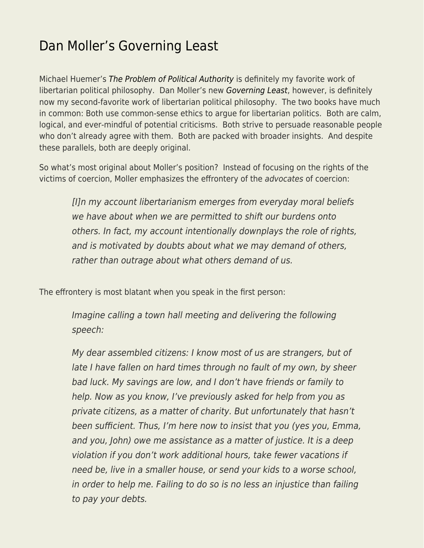## [Dan Moller's Governing Least](https://everything-voluntary.com/dan-mollers-governing-least)

Michael Huemer's [The Problem of Political Authority](https://www.econlib.org/archives/2013/01/huemers_common-.html) is definitely my favorite work of libertarian political philosophy. Dan Moller's new [Governing Least](https://amzn.to/2V8plMG), however, is definitely now my second-favorite work of libertarian political philosophy. The two books have much in common: Both use common-sense ethics to argue for libertarian politics. Both are calm, logical, and ever-mindful of potential criticisms. Both strive to persuade reasonable people who don't already agree with them. Both are packed with broader insights. And despite these parallels, both are deeply original.

So what's most original about Moller's position? Instead of focusing on the rights of the victims of coercion, Moller emphasizes the effrontery of the advocates of coercion:

[I]n my account libertarianism emerges from everyday moral beliefs we have about when we are permitted to shift our burdens onto others. In fact, my account intentionally downplays the role of rights, and is motivated by doubts about what we may demand of others, rather than outrage about what others demand of us.

The effrontery is most blatant when you speak in the first person:

Imagine calling a town hall meeting and delivering the following speech:

My dear assembled citizens: I know most of us are strangers, but of late I have fallen on hard times through no fault of my own, by sheer bad luck. My savings are low, and I don't have friends or family to help. Now as you know, I've previously asked for help from you as private citizens, as a matter of charity. But unfortunately that hasn't been sufficient. Thus, I'm here now to insist that you (yes you, Emma, and you, John) owe me assistance as a matter of justice. It is a deep violation if you don't work additional hours, take fewer vacations if need be, live in a smaller house, or send your kids to a worse school, in order to help me. Failing to do so is no less an injustice than failing to pay your debts.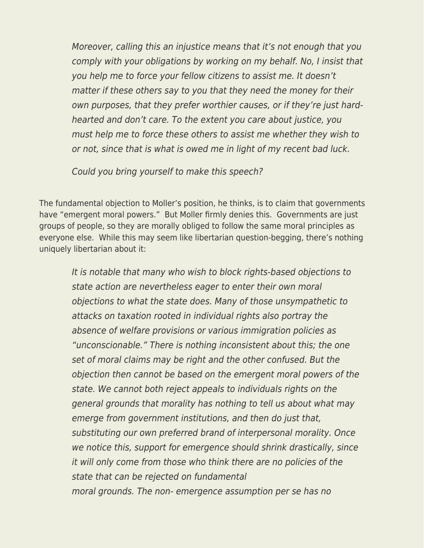Moreover, calling this an injustice means that it's not enough that you comply with your obligations by working on my behalf. No, I insist that you help me to force your fellow citizens to assist me. It doesn't matter if these others say to you that they need the money for their own purposes, that they prefer worthier causes, or if they're just hardhearted and don't care. To the extent you care about justice, you must help me to force these others to assist me whether they wish to or not, since that is what is owed me in light of my recent bad luck.

Could you bring yourself to make this speech?

The fundamental objection to Moller's position, he thinks, is to claim that governments have "emergent moral powers." But Moller firmly denies this. Governments are just groups of people, so they are morally obliged to follow the same moral principles as everyone else. While this may seem like libertarian question-begging, there's nothing uniquely libertarian about it:

It is notable that many who wish to block rights-based objections to state action are nevertheless eager to enter their own moral objections to what the state does. Many of those unsympathetic to attacks on taxation rooted in individual rights also portray the absence of welfare provisions or various immigration policies as "unconscionable." There is nothing inconsistent about this; the one set of moral claims may be right and the other confused. But the objection then cannot be based on the emergent moral powers of the state. We cannot both reject appeals to individuals rights on the general grounds that morality has nothing to tell us about what may emerge from government institutions, and then do just that, substituting our own preferred brand of interpersonal morality. Once we notice this, support for emergence should shrink drastically, since it will only come from those who think there are no policies of the state that can be rejected on fundamental moral grounds. The non- emergence assumption per se has no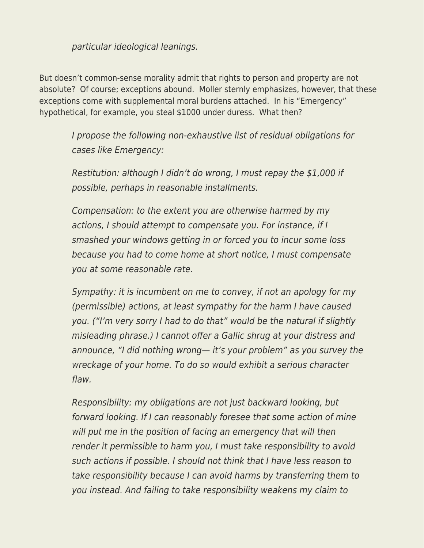## particular ideological leanings.

But doesn't common-sense morality admit that rights to person and property are not absolute? Of course; exceptions abound. Moller sternly emphasizes, however, that these exceptions come with supplemental moral burdens attached. In his "Emergency" hypothetical, for example, you steal \$1000 under duress. What then?

I propose the following non-exhaustive list of residual obligations for cases like Emergency:

Restitution: although I didn't do wrong, I must repay the \$1,000 if possible, perhaps in reasonable installments.

Compensation: to the extent you are otherwise harmed by my actions, I should attempt to compensate you. For instance, if I smashed your windows getting in or forced you to incur some loss because you had to come home at short notice, I must compensate you at some reasonable rate.

Sympathy: it is incumbent on me to convey, if not an apology for my (permissible) actions, at least sympathy for the harm I have caused you. ("I'm very sorry I had to do that" would be the natural if slightly misleading phrase.) I cannot offer a Gallic shrug at your distress and announce, "I did nothing wrong— it's your problem" as you survey the wreckage of your home. To do so would exhibit a serious character flaw.

Responsibility: my obligations are not just backward looking, but forward looking. If I can reasonably foresee that some action of mine will put me in the position of facing an emergency that will then render it permissible to harm you, I must take responsibility to avoid such actions if possible. I should not think that I have less reason to take responsibility because I can avoid harms by transferring them to you instead. And failing to take responsibility weakens my claim to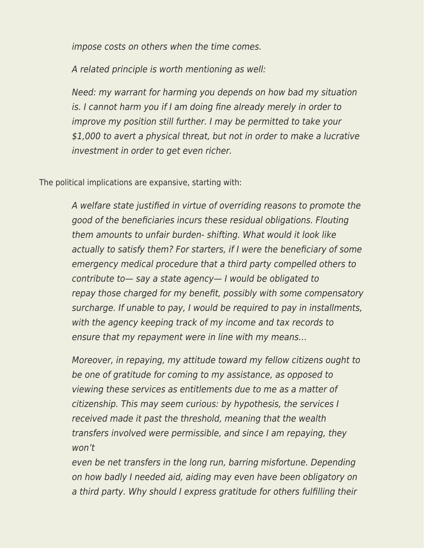impose costs on others when the time comes.

A related principle is worth mentioning as well:

Need: my warrant for harming you depends on how bad my situation is. I cannot harm you if I am doing fine already merely in order to improve my position still further. I may be permitted to take your \$1,000 to avert a physical threat, but not in order to make a lucrative investment in order to get even richer.

The political implications are expansive, starting with:

A welfare state justified in virtue of overriding reasons to promote the good of the beneficiaries incurs these residual obligations. Flouting them amounts to unfair burden- shifting. What would it look like actually to satisfy them? For starters, if I were the beneficiary of some emergency medical procedure that a third party compelled others to contribute to— say a state agency— I would be obligated to repay those charged for my benefit, possibly with some compensatory surcharge. If unable to pay, I would be required to pay in installments, with the agency keeping track of my income and tax records to ensure that my repayment were in line with my means…

Moreover, in repaying, my attitude toward my fellow citizens ought to be one of gratitude for coming to my assistance, as opposed to viewing these services as entitlements due to me as a matter of citizenship. This may seem curious: by hypothesis, the services I received made it past the threshold, meaning that the wealth transfers involved were permissible, and since I am repaying, they won't

even be net transfers in the long run, barring misfortune. Depending on how badly I needed aid, aiding may even have been obligatory on a third party. Why should I express gratitude for others fulfilling their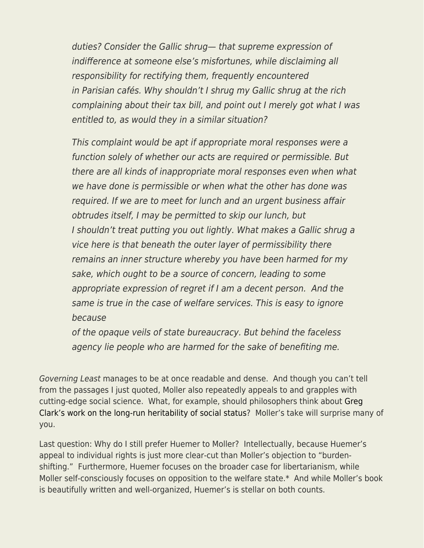duties? Consider the Gallic shrug— that supreme expression of indifference at someone else's misfortunes, while disclaiming all responsibility for rectifying them, frequently encountered in Parisian cafés. Why shouldn't I shrug my Gallic shrug at the rich complaining about their tax bill, and point out I merely got what I was entitled to, as would they in a similar situation?

This complaint would be apt if appropriate moral responses were a function solely of whether our acts are required or permissible. But there are all kinds of inappropriate moral responses even when what we have done is permissible or when what the other has done was required. If we are to meet for lunch and an urgent business affair obtrudes itself, I may be permitted to skip our lunch, but I shouldn't treat putting you out lightly. What makes a Gallic shrug a vice here is that beneath the outer layer of permissibility there remains an inner structure whereby you have been harmed for my sake, which ought to be a source of concern, leading to some appropriate expression of regret if I am a decent person. And the same is true in the case of welfare services. This is easy to ignore because

of the opaque veils of state bureaucracy. But behind the faceless agency lie people who are harmed for the sake of benefiting me.

Governing Least manages to be at once readable and dense. And though you can't tell from the passages I just quoted, Moller also repeatedly appeals to and grapples with cutting-edge social science. What, for example, should philosophers think about [Greg](http://www.econlib.org/library/Columns/y2014/Klingheritability.html) [Clark's work on the long-run heritability of social status](http://www.econlib.org/library/Columns/y2014/Klingheritability.html)? Moller's take will surprise many of you.

Last question: Why do I still prefer Huemer to Moller? Intellectually, because Huemer's appeal to individual rights is just more clear-cut than Moller's objection to "burdenshifting." Furthermore, Huemer focuses on the broader case for libertarianism, while Moller self-consciously focuses on opposition to the welfare state.\* And while Moller's book is beautifully written and well-organized, Huemer's is stellar on both counts.